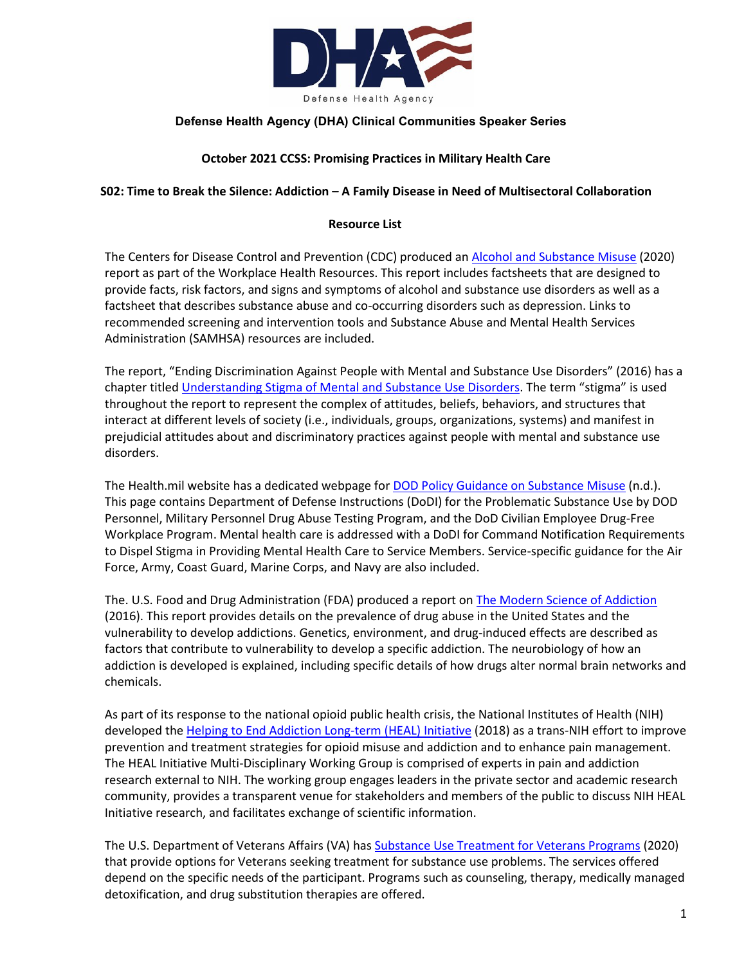

## **Defense Health Agency (DHA) Clinical Communities Speaker Series**

## **October 2021 CCSS: Promising Practices in Military Health Care**

### **S02: Time to Break the Silence: Addiction – A Family Disease in Need of Multisectoral Collaboration**

### **Resource List**

The Centers for Disease Control and Prevention (CDC) produced an [Alcohol and Substance Misuse](https://www.cdc.gov/workplacehealthpromotion/tools-resources/workplace-health/alcohol-substance-misuse.html) (2020) report as part of the Workplace Health Resources. This report includes factsheets that are designed to provide facts, risk factors, and signs and symptoms of alcohol and substance use disorders as well as a factsheet that describes substance abuse and co-occurring disorders such as depression. Links to recommended screening and intervention tools and Substance Abuse and Mental Health Services Administration (SAMHSA) resources are included.

The report, "Ending Discrimination Against People with Mental and Substance Use Disorders" (2016) has a chapter titled [Understanding Stigma of Mental and Substance Use Disorders.](https://www.ncbi.nlm.nih.gov/books/NBK384923/) The term "stigma" is used throughout the report to represent the complex of attitudes, beliefs, behaviors, and structures that interact at different levels of society (i.e., individuals, groups, organizations, systems) and manifest in prejudicial attitudes about and discriminatory practices against people with mental and substance use disorders.

The Health.mil website has a dedicated webpage for **[DOD Policy Guidance on Substance Misuse](https://health.mil/Military-Health-Topics/Centers-of-Excellence/Psychological-Health-Center-of-Excellence/PHCoE-Clinician-Resources/Alcohol-Misuse/DoD-Policy-Guidance-on-Substance-Misuse)** (n.d.). This page contains Department of Defense Instructions (DoDI) for the Problematic Substance Use by DOD Personnel, Military Personnel Drug Abuse Testing Program, and the DoD Civilian Employee Drug-Free Workplace Program. Mental health care is addressed with a DoDI for Command Notification Requirements to Dispel Stigma in Providing Mental Health Care to Service Members. Service-specific guidance for the Air Force, Army, Coast Guard, Marine Corps, and Navy are also included.

The. U.S. Food and Drug Administration (FDA) produced a report on [The Modern Science of Addiction](https://www.fda.gov/media/96423/download) (2016). This report provides details on the prevalence of drug abuse in the United States and the vulnerability to develop addictions. Genetics, environment, and drug-induced effects are described as factors that contribute to vulnerability to develop a specific addiction. The neurobiology of how an addiction is developed is explained, including specific details of how drugs alter normal brain networks and chemicals.

As part of its response to the national opioid public health crisis, the National Institutes of Health (NIH) developed the [Helping to End Addiction Long-term \(HEAL\) Initiative](https://heal.nih.gov/) (2018) as a trans-NIH effort to improve prevention and treatment strategies for opioid misuse and addiction and to enhance pain management. The HEAL Initiative Multi-Disciplinary Working Group is comprised of experts in pain and addiction research external to NIH. The working group engages leaders in the private sector and academic research community, provides a transparent venue for stakeholders and members of the public to discuss NIH HEAL Initiative research, and facilitates exchange of scientific information.

The U.S. Department of Veterans Affairs (VA) ha[s Substance Use Treatment for Veterans Programs](https://www.va.gov/health-care/health-needs-conditions/substance-use-problems/) (2020) that provide options for Veterans seeking treatment for substance use problems. The services offered depend on the specific needs of the participant. Programs such as counseling, therapy, medically managed detoxification, and drug substitution therapies are offered.